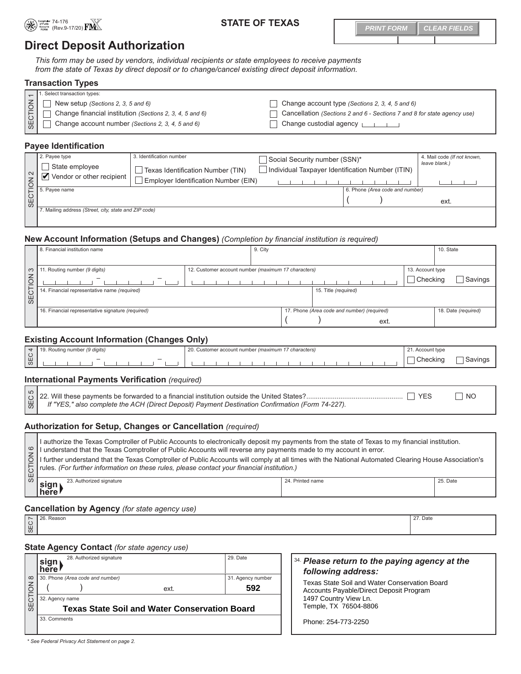

## 74-176 *For Comptroller's Use Only* **STATE OF TEXAS**

**PRINT FORM CLEAR FIELDS**

# **Direct Deposit Authorization**

*This form may be used by vendors, individual recipients or state employees to receive payments from the state of Texas by direct deposit or to change/cancel existing direct deposit information.* 

|                            | <b>Transaction Types</b>                                 |                                                                         |  |  |
|----------------------------|----------------------------------------------------------|-------------------------------------------------------------------------|--|--|
|                            | $\Box$ 1. Select transaction types:                      |                                                                         |  |  |
| $\overline{\underline{5}}$ | New setup (Sections 2, 3, 5 and 6)                       | Change account type (Sections 2, 3, 4, 5 and 6)                         |  |  |
| 15                         | Change financial institution (Sections 2, 3, 4, 5 and 6) | Cancellation (Sections 2 and 6 - Sections 7 and 8 for state agency use) |  |  |
| l ₩ l                      | Change account number (Sections 2, 3, 4, 5 and 6)        | Change custodial agency $\sqrt{1 + 1}$                                  |  |  |

#### **Payee Identification**

| 2. Payee type<br>J State employee<br>Vendor or other recipient                                                                                                                                                                                                                                                                                                                                                                                                                                                                       | 3. Identification number<br>Texas Identification Number (TIN) | Social Security number (SSN)*<br>Individual Taxpayer Identification Number (ITIN) |                                 | 4. Mail code (If not known,<br>leave blank.) |
|--------------------------------------------------------------------------------------------------------------------------------------------------------------------------------------------------------------------------------------------------------------------------------------------------------------------------------------------------------------------------------------------------------------------------------------------------------------------------------------------------------------------------------------|---------------------------------------------------------------|-----------------------------------------------------------------------------------|---------------------------------|----------------------------------------------|
|                                                                                                                                                                                                                                                                                                                                                                                                                                                                                                                                      | Employer Identification Number (EIN)                          |                                                                                   |                                 |                                              |
|                                                                                                                                                                                                                                                                                                                                                                                                                                                                                                                                      |                                                               |                                                                                   | 6. Phone (Area code and number) |                                              |
| $\begin{array}{c}\n 6. \text{Page name} \\  6. \text{Type name} \\  \hline\n 6. \text{Type name} \\  \hline\n 7. \text{Type name} \\  \hline\n 8. \text{Type name} \\  \hline\n 9. \text{Type name} \\  \hline\n 1. \text{Type name} \\  \hline\n 1. \text{Type name} \\  \hline\n 1. \text{Type name} \\  \hline\n 2. \text{Type name} \\  \hline\n 3. \text{Type name} \\  \hline\n 4. \text{Type name} \\  \hline\n 5. \text{Page name} \\  \hline\n 6. \text{Type name} \\  \hline\n 7. \text{Type name} \\  \hline\n 8. \text{$ |                                                               |                                                                                   |                                 | ext.                                         |
| Mailing address (Street, city, state and ZIP code)                                                                                                                                                                                                                                                                                                                                                                                                                                                                                   |                                                               |                                                                                   |                                 |                                              |
|                                                                                                                                                                                                                                                                                                                                                                                                                                                                                                                                      |                                                               |                                                                                   |                                 |                                              |

#### **New Account Information (Setups and Changes)** *(Completion by financial institution is required)*

|                 | 8. Financial institution name                     |  | 9. City                                             |  |                                             |                  |          | 10. State           |
|-----------------|---------------------------------------------------|--|-----------------------------------------------------|--|---------------------------------------------|------------------|----------|---------------------|
|                 |                                                   |  |                                                     |  |                                             |                  |          |                     |
| $\infty$        | Routing number (9 digits)                         |  | 12. Customer account number (maximum 17 characters) |  |                                             | 13. Account type |          |                     |
| $\overline{6}$  | $\overline{\phantom{a}}$                          |  |                                                     |  |                                             |                  | Checking | Savings             |
| 5               | 14. Financial representative name (required)      |  |                                                     |  | 15. Title (required)                        |                  |          |                     |
| SE <sub>1</sub> |                                                   |  |                                                     |  |                                             |                  |          |                     |
|                 | 16. Financial representative signature (required) |  |                                                     |  | 17. Phone (Area code and number) (required) |                  |          | 18. Date (required) |
|                 |                                                   |  |                                                     |  |                                             | ext.             |          |                     |

## **Existing Account Information (Changes Only)**

|   | 1 number (9 digits)<br>… Routin~ | ററ<br>7 characters)<br>stomer account number (maximum, | $\Omega$<br>21. Account type |  |
|---|----------------------------------|--------------------------------------------------------|------------------------------|--|
| ყ | $\overline{\phantom{m}}$         |                                                        | Checking                     |  |

#### **International Payments Verification** *(required)*

SEC 522. Will these payments be forwarded to a financial institution outside the United States? ................................................... YES NO *If "YES," also complete the ACH (Direct Deposit) Payment Destination Confirmation (Form 74-227).*

### **Authorization for Setup, Changes or Cancellation** *(required)*

| ဖ | I authorize the Texas Comptroller of Public Accounts to electronically deposit my payments from the state of Texas to my financial institution.<br>I understand that the Texas Comptroller of Public Accounts will reverse any payments made to my account in error.<br>$\frac{5}{5}$ I further understand that the Texas Comptroller of Public Accounts will comply at all times with the National Automated Clearing House Association's rules. (For further information on these rules, please contact |                  |          |  |  |  |
|---|-----------------------------------------------------------------------------------------------------------------------------------------------------------------------------------------------------------------------------------------------------------------------------------------------------------------------------------------------------------------------------------------------------------------------------------------------------------------------------------------------------------|------------------|----------|--|--|--|
|   | 23. Authorized signature<br>∣sign <sub>)</sub><br>here                                                                                                                                                                                                                                                                                                                                                                                                                                                    | 24. Printed name | 25. Date |  |  |  |

# **Cancellation by Agency** *(for state agency use)*<br>
<u>Nolas Reason</u>

26. Reason 28. Proposed a state of the control of the control of the control of the control of the control of the control of the control of the control of the control of the control of the control of the control of the con SEC 7

#### **State Agency Contact** *(for state agency use)*

|                | 28. Authorized signature<br>sign<br>  here           |      | 29. Date          | 34. Please return to the paying agency at the<br>following address: |
|----------------|------------------------------------------------------|------|-------------------|---------------------------------------------------------------------|
|                | ∞ 30. Phone (Area code and number)                   |      | 31. Agency number | Texas State Soil and Water Conservation Board                       |
| $\overline{6}$ |                                                      | ext. | 592               | Accounts Payable/Direct Deposit Program                             |
|                | 32. Agency name                                      |      |                   | 1497 Country View Ln.                                               |
| <b>SEC</b>     | <b>Texas State Soil and Water Conservation Board</b> |      |                   | Temple, TX 76504-8806                                               |
|                | 33. Comments                                         |      |                   | Phone: 254-773-2250                                                 |

*\* See Federal Privacy Act Statement on page 2.*